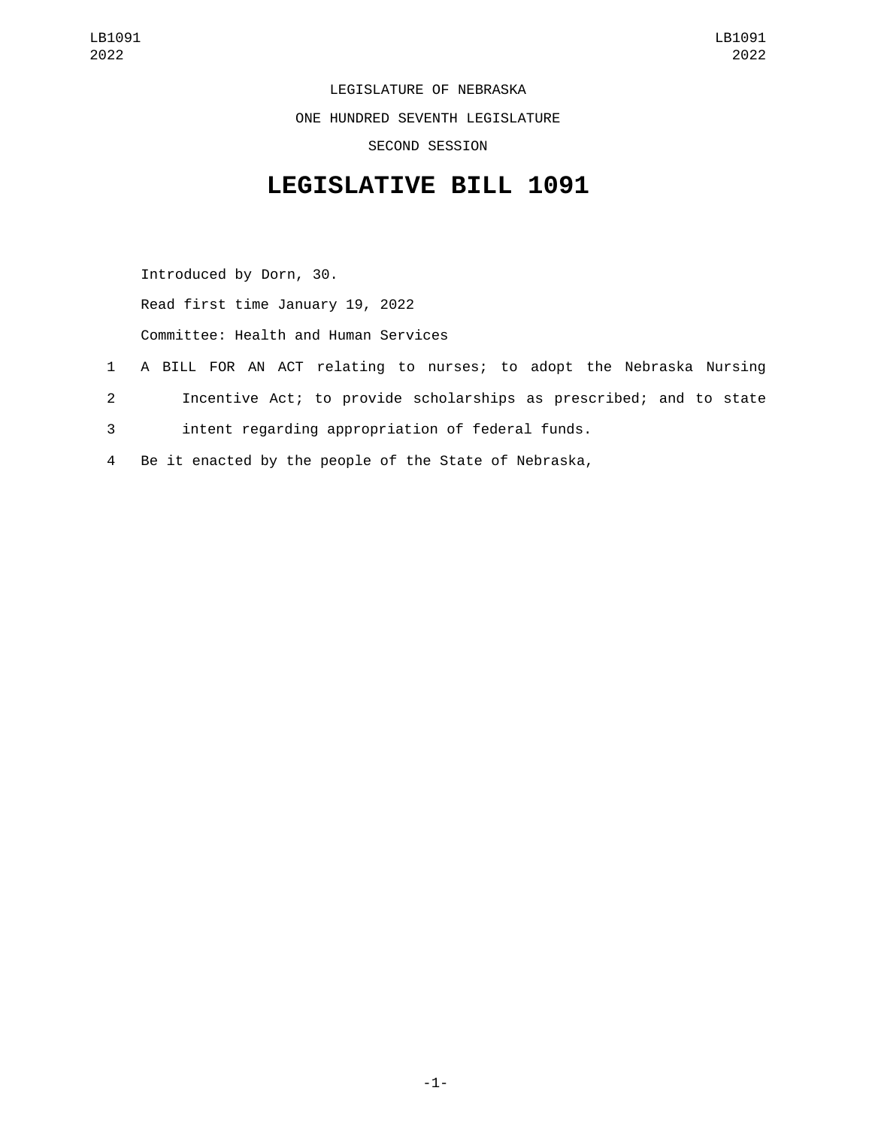LEGISLATURE OF NEBRASKA ONE HUNDRED SEVENTH LEGISLATURE SECOND SESSION

## **LEGISLATIVE BILL 1091**

Introduced by Dorn, 30. Read first time January 19, 2022 Committee: Health and Human Services

- 1 A BILL FOR AN ACT relating to nurses; to adopt the Nebraska Nursing 2 Incentive Act; to provide scholarships as prescribed; and to state 3 intent regarding appropriation of federal funds.
- 4 Be it enacted by the people of the State of Nebraska,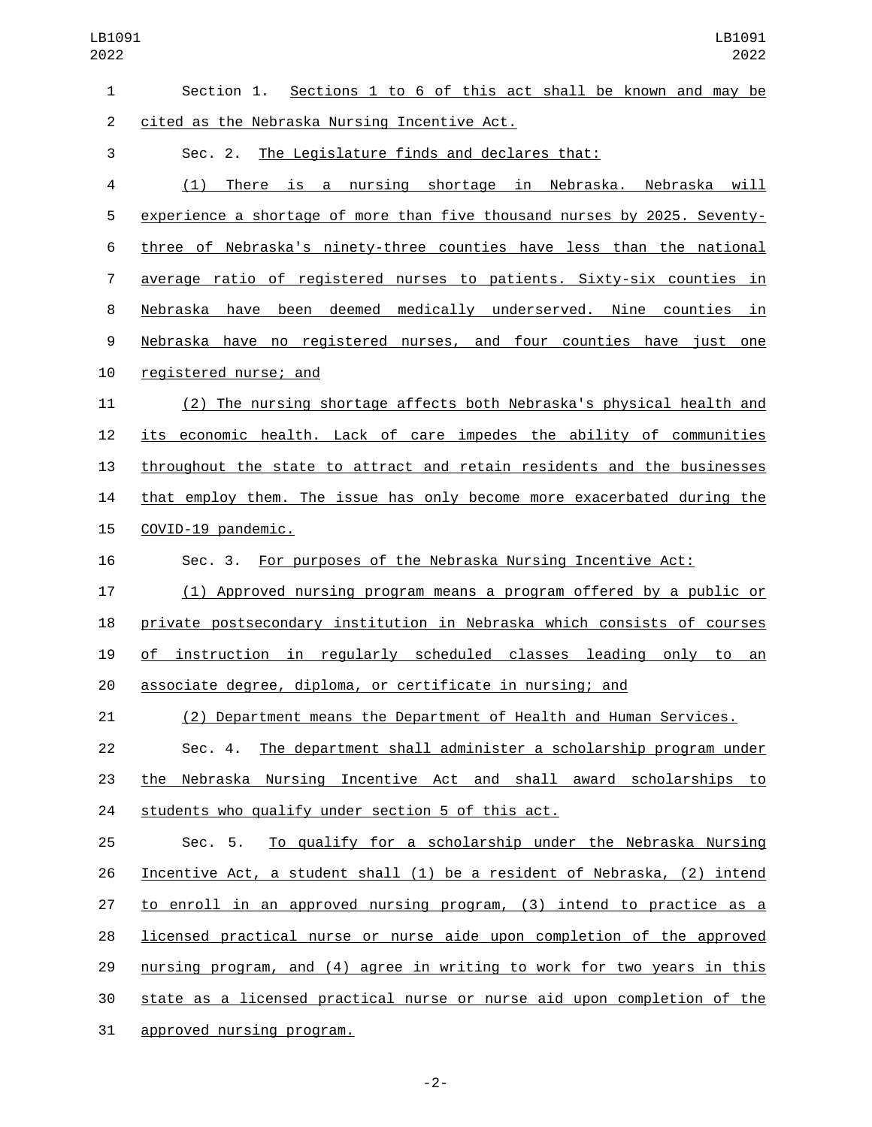| 1              | Section 1. Sections 1 to 6 of this act shall be known and may be               |
|----------------|--------------------------------------------------------------------------------|
| $\overline{2}$ | cited as the Nebraska Nursing Incentive Act.                                   |
| 3              | Sec. 2. The Legislature finds and declares that:                               |
| 4              | (1) There is a nursing shortage in Nebraska. Nebraska will                     |
| 5              | experience a shortage of more than five thousand nurses by 2025. Seventy-      |
| 6              | three of Nebraska's ninety-three counties have less than the national          |
| 7              | average ratio of registered nurses to patients. Sixty-six counties in          |
| 8              | Nebraska have been deemed medically underserved. Nine counties in              |
| 9              | Nebraska have no registered nurses, and four counties have just one            |
| 10             | registered nurse; and                                                          |
| 11             | (2) The nursing shortage affects both Nebraska's physical health and           |
| 12             | its economic health. Lack of care impedes the ability of communities           |
| 13             | throughout the state to attract and retain residents and the businesses        |
| 14             | that employ them. The issue has only become more exacerbated during the        |
| 15             | COVID-19 pandemic.                                                             |
| 16             | Sec. 3. For purposes of the Nebraska Nursing Incentive Act:                    |
| 17             | (1) Approved nursing program means a program offered by a public or            |
| 18             | private postsecondary institution in Nebraska which consists of courses        |
| 19             | of instruction in regularly scheduled classes leading only to an               |
| 20             | associate degree, diploma, or certificate in nursing; and                      |
| 21             | (2) Department means the Department of Health and Human Services.              |
| 22             | The department shall administer a scholarship program under<br>Sec. 4.         |
| 23             | the Nebraska Nursing Incentive Act and shall award scholarships to             |
| 24             | students who qualify under section 5 of this act.                              |
| 25             | To qualify for a scholarship under the Nebraska Nursing<br>Sec. 5.             |
| 26             | Incentive Act, a student shall (1) be a resident of Nebraska, (2) intend       |
| 27             | to enroll in an approved nursing program, (3) intend to practice as a          |
| 28             | licensed practical nurse or nurse aide upon completion of the approved         |
| 29             | <u>nursing program, and (4) agree in writing to work for two years in this</u> |
| 30             | state as a licensed practical nurse or nurse aid upon completion of the        |
| 31             | approved nursing program.                                                      |